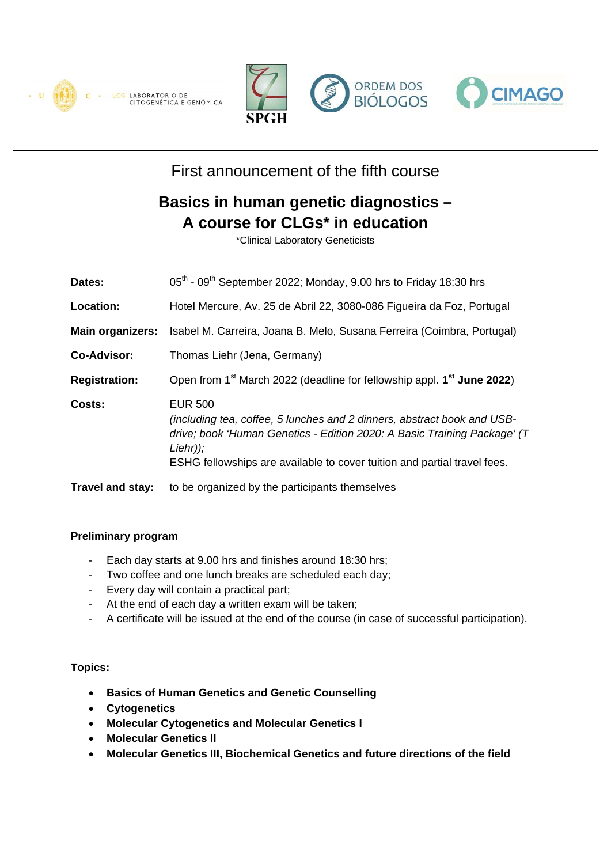







## First announcement of the fifth course

# **Basics in human genetic diagnostics – A course for CLGs\* in education**

\*Clinical Laboratory Geneticists

| Dates:                  | 05 <sup>th</sup> - 09 <sup>th</sup> September 2022; Monday, 9.00 hrs to Friday 18:30 hrs                                                                                                                                                                        |
|-------------------------|-----------------------------------------------------------------------------------------------------------------------------------------------------------------------------------------------------------------------------------------------------------------|
| Location:               | Hotel Mercure, Av. 25 de Abril 22, 3080-086 Figueira da Foz, Portugal                                                                                                                                                                                           |
| <b>Main organizers:</b> | Isabel M. Carreira, Joana B. Melo, Susana Ferreira (Coimbra, Portugal)                                                                                                                                                                                          |
| <b>Co-Advisor:</b>      | Thomas Liehr (Jena, Germany)                                                                                                                                                                                                                                    |
| <b>Registration:</b>    | Open from 1 <sup>st</sup> March 2022 (deadline for fellowship appl. 1 <sup>st</sup> June 2022)                                                                                                                                                                  |
| Costs:                  | <b>EUR 500</b><br>(including tea, coffee, 5 lunches and 2 dinners, abstract book and USB-<br>drive; book 'Human Genetics - Edition 2020: A Basic Training Package' (T<br>$Liehr$ );<br>ESHG fellowships are available to cover tuition and partial travel fees. |
| <b>Travel and stay:</b> | to be organized by the participants themselves                                                                                                                                                                                                                  |

#### **Preliminary program**

- Each day starts at 9.00 hrs and finishes around 18:30 hrs;
- Two coffee and one lunch breaks are scheduled each day;
- Every day will contain a practical part;
- At the end of each day a written exam will be taken;
- A certificate will be issued at the end of the course (in case of successful participation).

#### **Topics:**

- **Basics of Human Genetics and Genetic Counselling**
- **Cytogenetics**
- **Molecular Cytogenetics and Molecular Genetics I**
- **Molecular Genetics II**
- **Molecular Genetics III, Biochemical Genetics and future directions of the field**